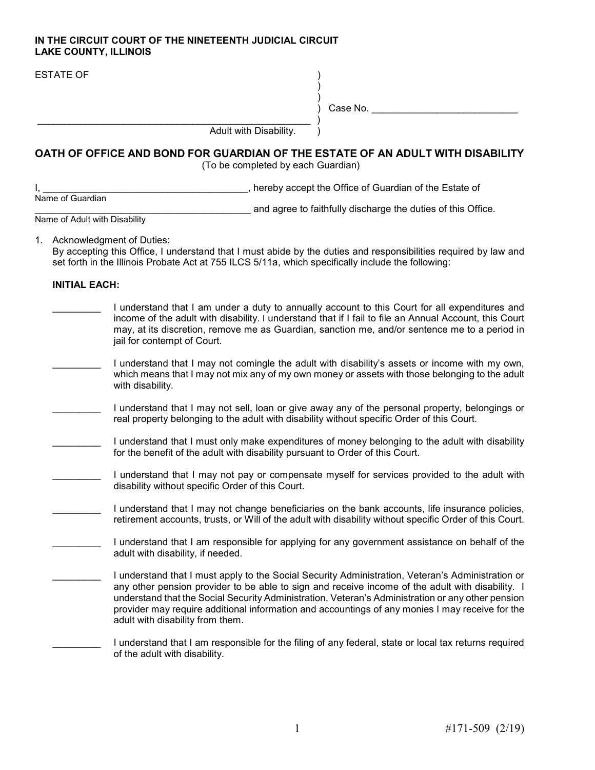## IN THE CIRCUIT COURT OF THE NINETEENTH JUDICIAL CIRCUIT LAKE COUNTY, ILLINOIS

| <b>ESTATE OF</b>              | Case No.                                                                                                                                                                                                                                                                                                                                                                                                                                          |
|-------------------------------|---------------------------------------------------------------------------------------------------------------------------------------------------------------------------------------------------------------------------------------------------------------------------------------------------------------------------------------------------------------------------------------------------------------------------------------------------|
|                               | Adult with Disability.                                                                                                                                                                                                                                                                                                                                                                                                                            |
|                               | OATH OF OFFICE AND BOND FOR GUARDIAN OF THE ESTATE OF AN ADULT WITH DISABILITY<br>(To be completed by each Guardian)                                                                                                                                                                                                                                                                                                                              |
|                               | _, hereby accept the Office of Guardian of the Estate of                                                                                                                                                                                                                                                                                                                                                                                          |
| Name of Guardian              | and agree to faithfully discharge the duties of this Office.                                                                                                                                                                                                                                                                                                                                                                                      |
| Name of Adult with Disability |                                                                                                                                                                                                                                                                                                                                                                                                                                                   |
|                               | 1. Acknowledgment of Duties:<br>By accepting this Office, I understand that I must abide by the duties and responsibilities required by law and<br>set forth in the Illinois Probate Act at 755 ILCS 5/11a, which specifically include the following:                                                                                                                                                                                             |
| <b>INITIAL EACH:</b>          |                                                                                                                                                                                                                                                                                                                                                                                                                                                   |
|                               | I understand that I am under a duty to annually account to this Court for all expenditures and<br>income of the adult with disability. I understand that if I fail to file an Annual Account, this Court<br>may, at its discretion, remove me as Guardian, sanction me, and/or sentence me to a period in<br>jail for contempt of Court.                                                                                                          |
|                               | I understand that I may not comingle the adult with disability's assets or income with my own,<br>which means that I may not mix any of my own money or assets with those belonging to the adult<br>with disability.                                                                                                                                                                                                                              |
|                               | I understand that I may not sell, loan or give away any of the personal property, belongings or<br>real property belonging to the adult with disability without specific Order of this Court.                                                                                                                                                                                                                                                     |
|                               | I understand that I must only make expenditures of money belonging to the adult with disability<br>for the benefit of the adult with disability pursuant to Order of this Court.                                                                                                                                                                                                                                                                  |
|                               | I understand that I may not pay or compensate myself for services provided to the adult with<br>disability without specific Order of this Court.                                                                                                                                                                                                                                                                                                  |
|                               | I understand that I may not change beneficiaries on the bank accounts, life insurance policies,<br>retirement accounts, trusts, or Will of the adult with disability without specific Order of this Court.                                                                                                                                                                                                                                        |
|                               | I understand that I am responsible for applying for any government assistance on behalf of the<br>adult with disability, if needed.                                                                                                                                                                                                                                                                                                               |
|                               | I understand that I must apply to the Social Security Administration, Veteran's Administration or<br>any other pension provider to be able to sign and receive income of the adult with disability. I<br>understand that the Social Security Administration, Veteran's Administration or any other pension<br>provider may require additional information and accountings of any monies I may receive for the<br>adult with disability from them. |
|                               | I understand that I am responsible for the filing of any federal, state or local tax returns required<br>of the adult with disability.                                                                                                                                                                                                                                                                                                            |